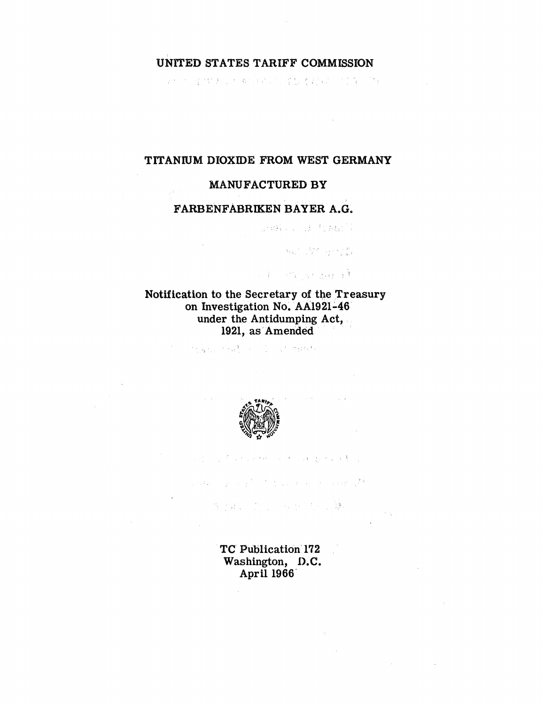#### **UNITED STATES TARIFF COMMISSION**

身份的 经对价表 的复数经经济公司 星想 法对诉讼 计位置 同时的

#### **TITANIUM DIOXIDE FROM WEST GERMANY**

#### **MANUFACTURED BY**

#### **FARBENFABRIKEN BAYER A.G.**

Service Schubsen

Auto 1970 anni (C)

J. L. M. Stranger

### **Notification to the Secretary of the Treasury on Investigation No. AA1921-46 under the Antidumping Act, 1921, as Amended**

的复数指示 化磷酸二氢 人名英法伊拉格拉



经公司债 医无足线 人名德德 电散光系统 医心包

ation of any finding product of the area of  $\mathbb{Z}^k$ 

制于建立 计信号 医自由性病 医髓

**TC Publication 172 Washington, D.C. April 1966**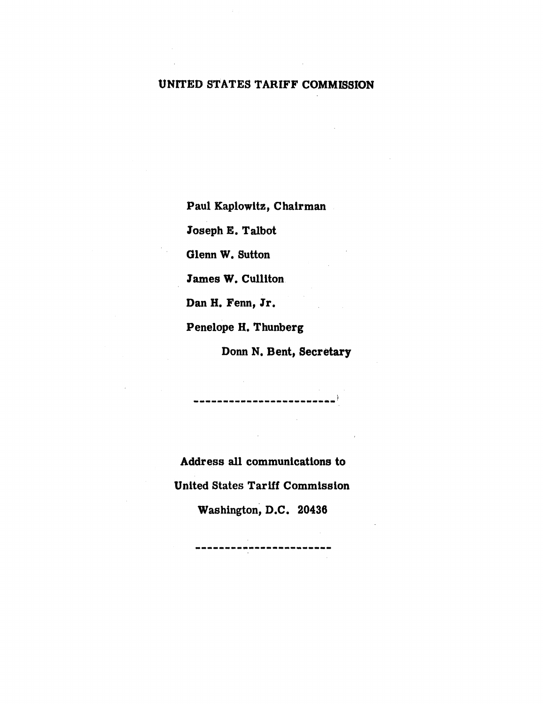## **UNITED STATES TARIFF COMMISSION**

**Paul Kaplowitz, Chairman** 

**Joseph E. Talbot** 

**Glenn W. Sutton** 

**lames W. Culliton** 

**Dan H. Fenn, Jr.** 

**Penelope H. Thunberg** 

**Donn N. Bent, Secretary** 

**Address all communications to United States Tariff Commission** 

.<br>The sub-the-sam was statistic and over and statistical spokestics and statistics and spokestics and was view and  $\overline{\phantom{a}}$ 

**Washington, D.C. 20438** 

.<br>In any star and with the company and age, was two very star and the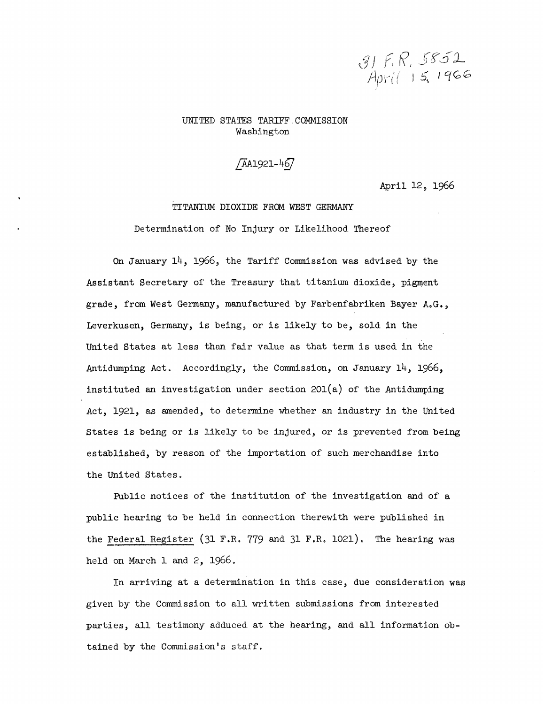

UNITED STATES TARIFF COMMISSION Washington

 $\sqrt{A}$ A1921-467

April 12, 1966

# TITANIUM DIOXIDE FROM WEST GERMANY

Determination of No Injury or Likelihood Thereof

On January 14, 1966, the Tariff Commission was advised. by the Assistant Secretary of the Treasury that titanium dioxide, pigment grade, from West Germany, manufactured. by Farbenfabriken Bayer A.G., Leverkusen, Germany, is being, or is likely to be, sold. in the United States at less than fair value as that term is used in the Antidumping Act. Accordingly, the Commission, on January 14, 1966, instituted an investigation under section  $201(a)$  of the Antidumping Act, 1921, as amended, to determine whether an industry in the United. States is being or is likely to be injured, or is prevented from being established, by reason of the importation of such merchandise into the United States.

Public notices of the institution of the investigation and of a public hearing to be held in connection therewith were published in the Federal Register (31 F.R. 779 and. 31 F.R. 1021). The hearing was held on March 1 and 2, 1966.

In arriving at a determination in this case, due consideration was given by the Commission to all written submissions from interested parties, all testimony adduced. at the hearing, and. all information obtained by the Commission's staff.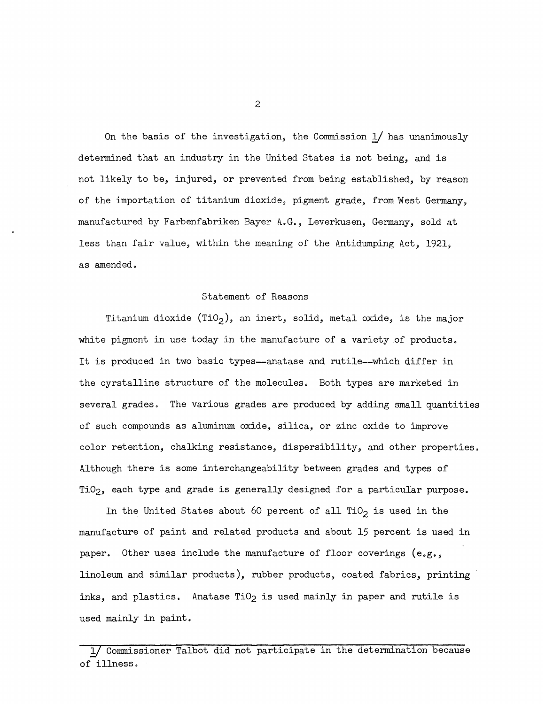On the basis of the investigation, the Commission  $1/$  has unanimously determined that an industry in the United States is not being, and is not likely to be, injured, or prevented from being established, by reason of the importation of titanium dioxide, pigment grade, from West Germany, manufactured by Farbenfabriken Bayer A.G., Leverkusen, Germany, sold at less than fair value, within the meaning of the Antidumping Act, 1921, as amended.

#### Statement of Reasons

Titanium dioxide (TiO<sub>2</sub>), an inert, solid, metal oxide, is the major white pigment in use today in the manufacture of a variety of products. It is produced in two basic types--anatase and rutile--which differ in the cyrstalline structure of the molecules. Both types are marketed in several grades. The various grades are produced by adding small quantities of such compounds as aluminum oxide, silica, or zinc oxide to improve color retention, chalking resistance, dispersibility, and other properties. Although there is some interchangeability between grades and types of Ti02, each type and grade is generally designed for a particular purpose.

In the United States about 60 percent of all TiO<sub>2</sub> is used in the manufacture of paint and related products and about 15 percent is used in paper. Other uses include the manufacture of floor coverings (e.g., linoleum and similar products), rubber products, coated fabrics, printing inks, and plastics. Anatase  $TiO<sub>2</sub>$  is used mainly in paper and rutile is used mainly in paint.

2

<sup>—</sup>717Commissioner Talbot did not participate in the determination because of illness.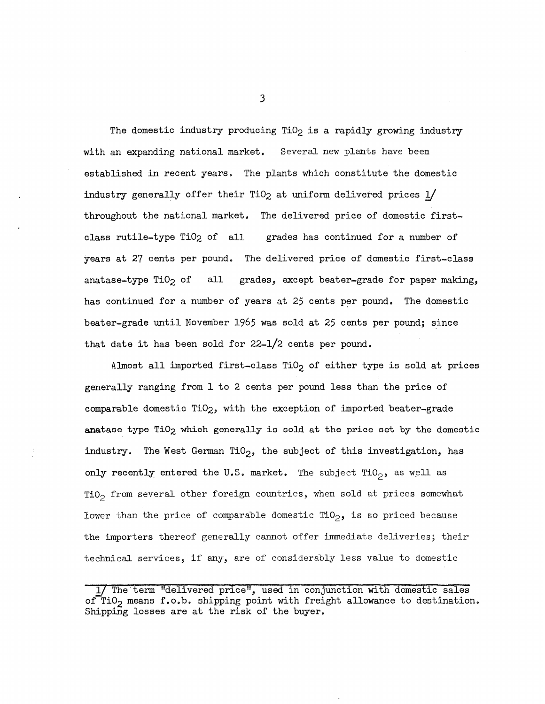The domestic industry producing  $TiO<sub>2</sub>$  is a rapidly growing industry with an expanding national market. Several new plants have been established in recent years. The plants which constitute the domestic industry generally offer their TiO<sub>2</sub> at uniform delivered prices  $1/$ throughout the national market. The delivered price of domestic firstclass rutile-type TiO2 of all grades has continued for a number of years at 27 cents per pound. The delivered price of domestic first-class anatase-type TiO<sub>2</sub> of all grades, except beater-grade for paper making, has continued for a number of years at 25 cents per pound. The domestic beater-grade until November 1965 was sold at 25 cents per pound; since that date it has been sold for 22-1/2 cents per pound.

Almost all imported first-class  $TiO<sub>2</sub>$  of either type is sold at prices generally ranging from 1 to 2 cents per pound less than the price of comparable domestic Ti02, with the exception of imported beater-grade anatase type TiO<sub>2</sub> which generally is sold at the price set by the domestic industry. The West German TiO<sub>2</sub>, the subject of this investigation, has only recently entered the U.S. market. The subject TiO<sub>2</sub>, as well as TiO<sub>2</sub> from several other foreign countries, when sold at prices somewhat lower than the price of comparable domestic  $\text{TiO}_2$ , is so priced because the importers thereof generally cannot offer immediate deliveries; their technical services, if any, are of considerably less value to domestic

3

<sup>1/</sup> The term "delivered price", used in conjunction with domestic sales of TiO<sub>2</sub> means f.o.b. shipping point with freight allowance to destination. Shipping losses are at the risk of the buyer.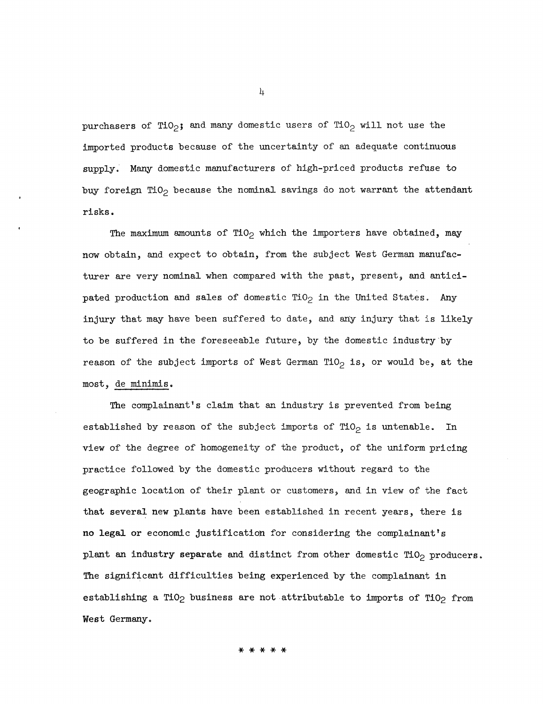purchasers of TiO<sub>2</sub>; and many domestic users of TiO<sub>2</sub> will not use the imported products because of the uncertainty of an adequate continuous supply.' Many domestic manufacturers of high-priced products refuse to buy foreign TiO<sub>2</sub> because the nominal savings do not warrant the attendant risks.

The maximum amounts of TiO<sub>2</sub> which the importers have obtained, may now obtain, and expect to obtain, from the subject West German manufacturer are very nominal when compared with the past, present, and anticipated production and sales of domestic TiO<sub>2</sub> in the United States. Any injury that may have been suffered to date, and. any injury that is likely to be suffered in the foreseeable future, by the domestic industry by reason of the subject imports of West German TiO<sub>2</sub> is, or would be, at the most, de minimis.

The complainant's claim that an industry is prevented from being established by reason of the subject imports of  $TiO<sub>2</sub>$  is untenable. In view of the degree of homogeneity of the product, of the uniform pricing practice followed. by the domestic producers without regard to the geographic location of their plant or customers, and in view of the fact that several new plants have been established in recent years, there is no legal or economic justification for considering the complainant's plant an industry separate and distinct from other domestic  $TiO<sub>2</sub>$  producers. The significant difficulties being experienced by the complainant in establishing a TiO<sub>2</sub> business are not attributable to imports of TiO<sub>2</sub> from West Germany.

4

\* \* \* \* \*